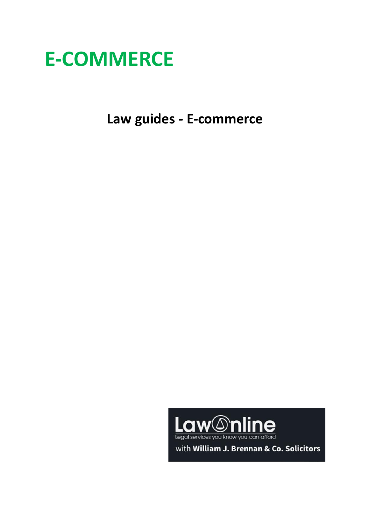

**Law guides - E-commerce**

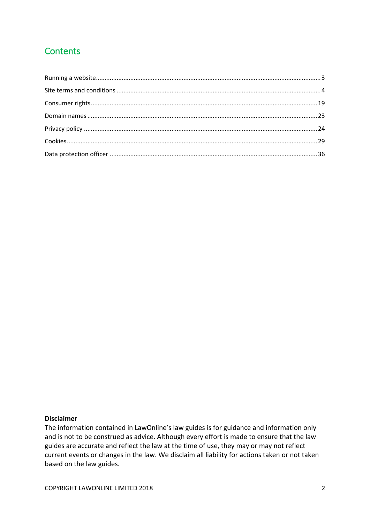# **Contents**

#### **Disclaimer**

The information contained in LawOnline's law guides is for guidance and information only and is not to be construed as advice. Although every effort is made to ensure that the law guides are accurate and reflect the law at the time of use, they may or may not reflect current events or changes in the law. We disclaim all liability for actions taken or not taken based on the law guides.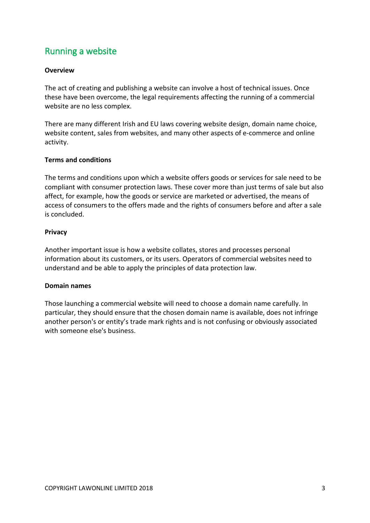# <span id="page-2-0"></span>Running a website

## **Overview**

The act of creating and publishing a website can involve a host of technical issues. Once these have been overcome, the legal requirements affecting the running of a commercial website are no less complex.

There are many different Irish and EU laws covering website design, domain name choice, website content, sales from websites, and many other aspects of e-commerce and online activity.

### **Terms and conditions**

The terms and conditions upon which a website offers goods or services for sale need to be compliant with consumer protection laws. These cover more than just terms of sale but also affect, for example, how the goods or service are marketed or advertised, the means of access of consumers to the offers made and the rights of consumers before and after a sale is concluded.

#### **Privacy**

Another important issue is how a website collates, stores and processes personal information about its customers, or its users. Operators of commercial websites need to understand and be able to apply the principles of data protection law.

#### **Domain names**

Those launching a commercial website will need to choose a domain name carefully. In particular, they should ensure that the chosen domain name is available, does not infringe another person's or entity's trade mark rights and is not confusing or obviously associated with someone else's business.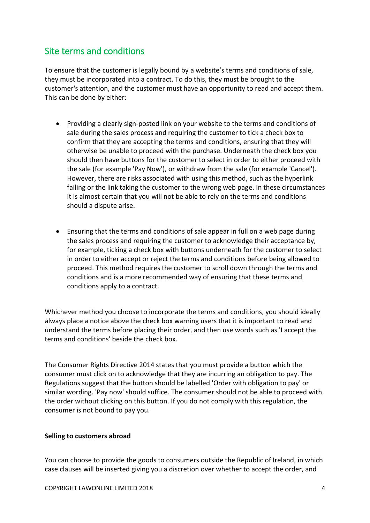# <span id="page-3-0"></span>Site terms and conditions

To ensure that the customer is legally bound by a website's terms and conditions of sale, they must be incorporated into a contract. To do this, they must be brought to the customer's attention, and the customer must have an opportunity to read and accept them. This can be done by either:

- Providing a clearly sign-posted link on your website to the terms and conditions of sale during the sales process and requiring the customer to tick a check box to confirm that they are accepting the terms and conditions, ensuring that they will otherwise be unable to proceed with the purchase. Underneath the check box you should then have buttons for the customer to select in order to either proceed with the sale (for example 'Pay Now'), or withdraw from the sale (for example 'Cancel'). However, there are risks associated with using this method, such as the hyperlink failing or the link taking the customer to the wrong web page. In these circumstances it is almost certain that you will not be able to rely on the terms and conditions should a dispute arise.
- Ensuring that the terms and conditions of sale appear in full on a web page during the sales process and requiring the customer to acknowledge their acceptance by, for example, ticking a check box with buttons underneath for the customer to select in order to either accept or reject the terms and conditions before being allowed to proceed. This method requires the customer to scroll down through the terms and conditions and is a more recommended way of ensuring that these terms and conditions apply to a contract.

Whichever method you choose to incorporate the terms and conditions, you should ideally always place a notice above the check box warning users that it is important to read and understand the terms before placing their order, and then use words such as 'I accept the terms and conditions' beside the check box.

The Consumer Rights Directive 2014 states that you must provide a button which the consumer must click on to acknowledge that they are incurring an obligation to pay. The Regulations suggest that the button should be labelled 'Order with obligation to pay' or similar wording. 'Pay now' should suffice. The consumer should not be able to proceed with the order without clicking on this button. If you do not comply with this regulation, the consumer is not bound to pay you.

### **Selling to customers abroad**

You can choose to provide the goods to consumers outside the Republic of Ireland, in which case clauses will be inserted giving you a discretion over whether to accept the order, and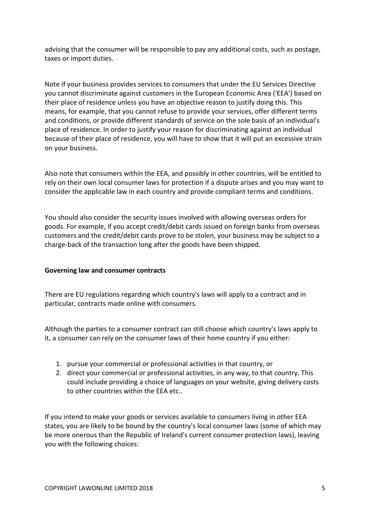advising that the consumer will be responsible to pay any additional costs, such as postage, taxes or import duties.

Note if your business provides services to consumers that under the EU Services Directive you cannot discriminate against customers in the European Economic Area ('EEA') based on their place of residence unless you have an objective reason to justify doing this. This means, for example, that you cannot refuse to provide your services, offer different terms and conditions, or provide different standards of service on the sole basis of an individual's place of residence. In order to justify your reason for discriminating against an individual because of their place of residence, you will have to show that it will put an excessive strain on your business.

Also note that consumers within the EEA, and possibly in other countries, will be entitled to rely on their own local consumer laws for protection if a dispute arises and you may want to consider the applicable law in each country and provide compliant terms and conditions.

You should also consider the security issues involved with allowing overseas orders for goods. For example, if you accept credit/debit cards issued on foreign banks from overseas customers and the credit/debit cards prove to be stolen, your business may be subject to a charge-back of the transaction long after the goods have been shipped.

### **Governing law and consumer contracts**

There are EU regulations regarding which country's laws will apply to a contract and in particular, contracts made online with consumers.

Although the parties to a consumer contract can still choose which country's laws apply to it, a consumer can rely on the consumer laws of their home country if you either:

- 1. pursue your commercial or professional activities in that country, or
- 2. direct your commercial or professional activities, in any way, to that country. This could include providing a choice of languages on your website, giving delivery costs to other countries within the EEA etc..

If you intend to make your goods or services available to consumers living in other EEA states, you are likely to be bound by the country's local consumer laws (some of which may be more onerous than the Republic of Ireland's current consumer protection laws), leaving you with the following choices: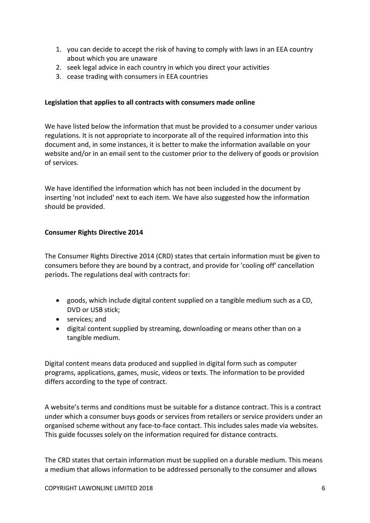- 1. you can decide to accept the risk of having to comply with laws in an EEA country about which you are unaware
- 2. seek legal advice in each country in which you direct your activities
- 3. cease trading with consumers in EEA countries

## **Legislation that applies to all contracts with consumers made online**

We have listed below the information that must be provided to a consumer under various regulations. It is not appropriate to incorporate all of the required information into this document and, in some instances, it is better to make the information available on your website and/or in an email sent to the customer prior to the delivery of goods or provision of services.

We have identified the information which has not been included in the document by inserting 'not included' next to each item. We have also suggested how the information should be provided.

## **Consumer Rights Directive 2014**

The Consumer Rights Directive 2014 (CRD) states that certain information must be given to consumers before they are bound by a contract, and provide for 'cooling off' cancellation periods. The regulations deal with contracts for:

- goods, which include digital content supplied on a tangible medium such as a CD, DVD or USB stick;
- services: and
- digital content supplied by streaming, downloading or means other than on a tangible medium.

Digital content means data produced and supplied in digital form such as computer programs, applications, games, music, videos or texts. The information to be provided differs according to the type of contract.

A website's terms and conditions must be suitable for a distance contract. This is a contract under which a consumer buys goods or services from retailers or service providers under an organised scheme without any face-to-face contact. This includes sales made via websites. This guide focusses solely on the information required for distance contracts.

The CRD states that certain information must be supplied on a durable medium. This means a medium that allows information to be addressed personally to the consumer and allows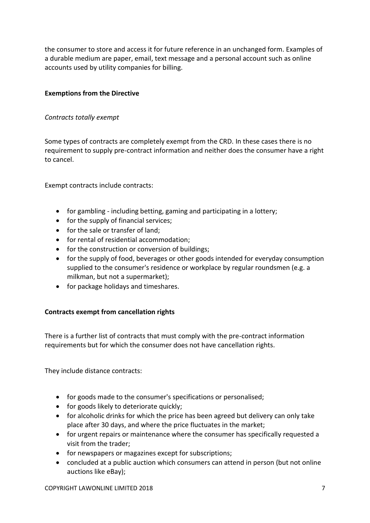the consumer to store and access it for future reference in an unchanged form. Examples of a durable medium are paper, email, text message and a personal account such as online accounts used by utility companies for billing.

## **Exemptions from the Directive**

## *Contracts totally exempt*

Some types of contracts are completely exempt from the CRD. In these cases there is no requirement to supply pre-contract information and neither does the consumer have a right to cancel.

Exempt contracts include contracts:

- for gambling including betting, gaming and participating in a lottery;
- for the supply of financial services;
- for the sale or transfer of land:
- for rental of residential accommodation;
- for the construction or conversion of buildings;
- for the supply of food, beverages or other goods intended for everyday consumption supplied to the consumer's residence or workplace by regular roundsmen (e.g. a milkman, but not a supermarket);
- for package holidays and timeshares.

## **Contracts exempt from cancellation rights**

There is a further list of contracts that must comply with the pre-contract information requirements but for which the consumer does not have cancellation rights.

They include distance contracts:

- for goods made to the consumer's specifications or personalised;
- for goods likely to deteriorate quickly;
- for alcoholic drinks for which the price has been agreed but delivery can only take place after 30 days, and where the price fluctuates in the market;
- for urgent repairs or maintenance where the consumer has specifically requested a visit from the trader;
- for newspapers or magazines except for subscriptions;
- concluded at a public auction which consumers can attend in person (but not online auctions like eBay);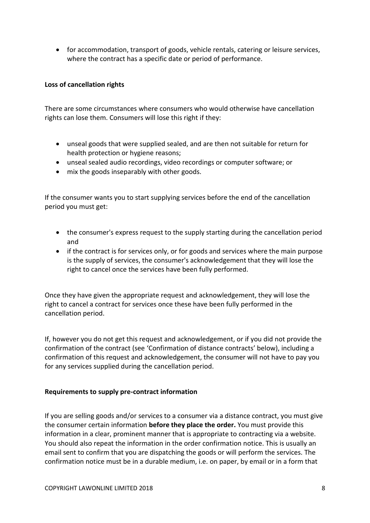• for accommodation, transport of goods, vehicle rentals, catering or leisure services, where the contract has a specific date or period of performance.

### **Loss of cancellation rights**

There are some circumstances where consumers who would otherwise have cancellation rights can lose them. Consumers will lose this right if they:

- unseal goods that were supplied sealed, and are then not suitable for return for health protection or hygiene reasons;
- unseal sealed audio recordings, video recordings or computer software; or
- mix the goods inseparably with other goods.

If the consumer wants you to start supplying services before the end of the cancellation period you must get:

- the consumer's express request to the supply starting during the cancellation period and
- if the contract is for services only, or for goods and services where the main purpose is the supply of services, the consumer's acknowledgement that they will lose the right to cancel once the services have been fully performed.

Once they have given the appropriate request and acknowledgement, they will lose the right to cancel a contract for services once these have been fully performed in the cancellation period.

If, however you do not get this request and acknowledgement, or if you did not provide the confirmation of the contract (see 'Confirmation of distance contracts' below), including a confirmation of this request and acknowledgement, the consumer will not have to pay you for any services supplied during the cancellation period.

### **Requirements to supply pre-contract information**

If you are selling goods and/or services to a consumer via a distance contract, you must give the consumer certain information **before they place the order.** You must provide this information in a clear, prominent manner that is appropriate to contracting via a website. You should also repeat the information in the order confirmation notice. This is usually an email sent to confirm that you are dispatching the goods or will perform the services. The confirmation notice must be in a durable medium, i.e. on paper, by email or in a form that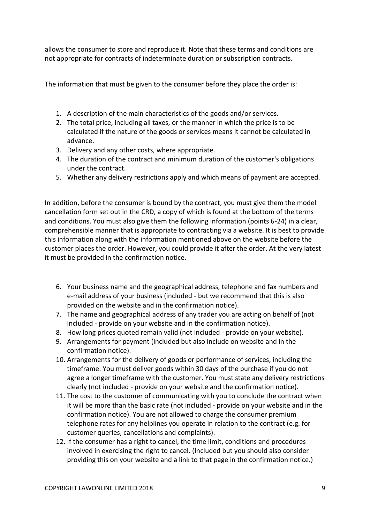allows the consumer to store and reproduce it. Note that these terms and conditions are not appropriate for contracts of indeterminate duration or subscription contracts.

The information that must be given to the consumer before they place the order is:

- 1. A description of the main characteristics of the goods and/or services.
- 2. The total price, including all taxes, or the manner in which the price is to be calculated if the nature of the goods or services means it cannot be calculated in advance.
- 3. Delivery and any other costs, where appropriate.
- 4. The duration of the contract and minimum duration of the customer's obligations under the contract.
- 5. Whether any delivery restrictions apply and which means of payment are accepted.

In addition, before the consumer is bound by the contract, you must give them the model cancellation form set out in the CRD, a copy of which is found at the bottom of the terms and conditions. You must also give them the following information (points 6-24) in a clear, comprehensible manner that is appropriate to contracting via a website. It is best to provide this information along with the information mentioned above on the website before the customer places the order. However, you could provide it after the order. At the very latest it must be provided in the confirmation notice.

- 6. Your business name and the geographical address, telephone and fax numbers and e-mail address of your business (included - but we recommend that this is also provided on the website and in the confirmation notice).
- 7. The name and geographical address of any trader you are acting on behalf of (not included - provide on your website and in the confirmation notice).
- 8. How long prices quoted remain valid (not included provide on your website).
- 9. Arrangements for payment (included but also include on website and in the confirmation notice).
- 10. Arrangements for the delivery of goods or performance of services, including the timeframe. You must deliver goods within 30 days of the purchase if you do not agree a longer timeframe with the customer. You must state any delivery restrictions clearly (not included - provide on your website and the confirmation notice).
- 11. The cost to the customer of communicating with you to conclude the contract when it will be more than the basic rate (not included - provide on your website and in the confirmation notice). You are not allowed to charge the consumer premium telephone rates for any helplines you operate in relation to the contract (e.g. for customer queries, cancellations and complaints).
- 12. If the consumer has a right to cancel, the time limit, conditions and procedures involved in exercising the right to cancel. (Included but you should also consider providing this on your website and a link to that page in the confirmation notice.)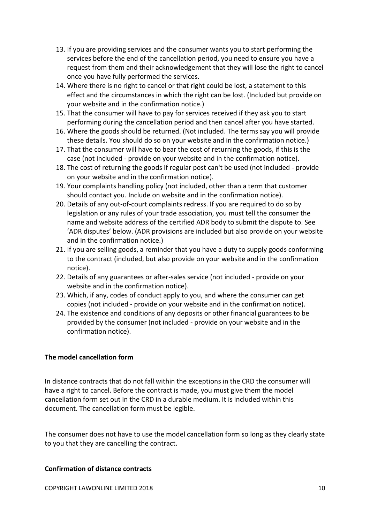- 13. If you are providing services and the consumer wants you to start performing the services before the end of the cancellation period, you need to ensure you have a request from them and their acknowledgement that they will lose the right to cancel once you have fully performed the services.
- 14. Where there is no right to cancel or that right could be lost, a statement to this effect and the circumstances in which the right can be lost. (Included but provide on your website and in the confirmation notice.)
- 15. That the consumer will have to pay for services received if they ask you to start performing during the cancellation period and then cancel after you have started.
- 16. Where the goods should be returned. (Not included. The terms say you will provide these details. You should do so on your website and in the confirmation notice.)
- 17. That the consumer will have to bear the cost of returning the goods, if this is the case (not included - provide on your website and in the confirmation notice).
- 18. The cost of returning the goods if regular post can't be used (not included provide on your website and in the confirmation notice).
- 19. Your complaints handling policy (not included, other than a term that customer should contact you. Include on website and in the confirmation notice).
- 20. Details of any out-of-court complaints redress. If you are required to do so by legislation or any rules of your trade association, you must tell the consumer the name and website address of the certified ADR body to submit the dispute to. See 'ADR disputes' below. (ADR provisions are included but also provide on your website and in the confirmation notice.)
- 21. If you are selling goods, a reminder that you have a duty to supply goods conforming to the contract (included, but also provide on your website and in the confirmation notice).
- 22. Details of any guarantees or after-sales service (not included provide on your website and in the confirmation notice).
- 23. Which, if any, codes of conduct apply to you, and where the consumer can get copies (not included - provide on your website and in the confirmation notice).
- 24. The existence and conditions of any deposits or other financial guarantees to be provided by the consumer (not included - provide on your website and in the confirmation notice).

### **The model cancellation form**

In distance contracts that do not fall within the exceptions in the CRD the consumer will have a right to cancel. Before the contract is made, you must give them the model cancellation form set out in the CRD in a durable medium. It is included within this document. The cancellation form must be legible.

The consumer does not have to use the model cancellation form so long as they clearly state to you that they are cancelling the contract.

### **Confirmation of distance contracts**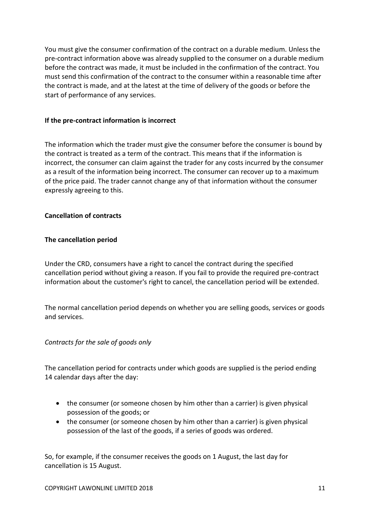You must give the consumer confirmation of the contract on a durable medium. Unless the pre-contract information above was already supplied to the consumer on a durable medium before the contract was made, it must be included in the confirmation of the contract. You must send this confirmation of the contract to the consumer within a reasonable time after the contract is made, and at the latest at the time of delivery of the goods or before the start of performance of any services.

#### **If the pre-contract information is incorrect**

The information which the trader must give the consumer before the consumer is bound by the contract is treated as a term of the contract. This means that if the information is incorrect, the consumer can claim against the trader for any costs incurred by the consumer as a result of the information being incorrect. The consumer can recover up to a maximum of the price paid. The trader cannot change any of that information without the consumer expressly agreeing to this.

### **Cancellation of contracts**

#### **The cancellation period**

Under the CRD, consumers have a right to cancel the contract during the specified cancellation period without giving a reason. If you fail to provide the required pre-contract information about the customer's right to cancel, the cancellation period will be extended.

The normal cancellation period depends on whether you are selling goods, services or goods and services.

#### *Contracts for the sale of goods only*

The cancellation period for contracts under which goods are supplied is the period ending 14 calendar days after the day:

- the consumer (or someone chosen by him other than a carrier) is given physical possession of the goods; or
- the consumer (or someone chosen by him other than a carrier) is given physical possession of the last of the goods, if a series of goods was ordered.

So, for example, if the consumer receives the goods on 1 August, the last day for cancellation is 15 August.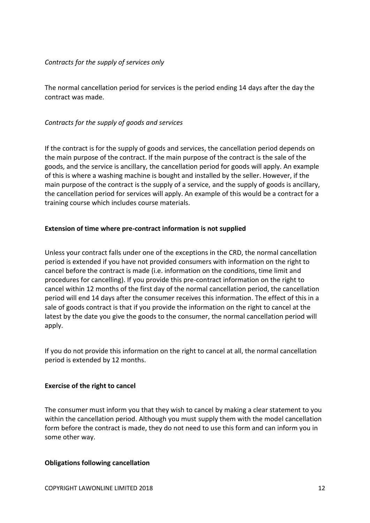### *Contracts for the supply of services only*

The normal cancellation period for services is the period ending 14 days after the day the contract was made.

## *Contracts for the supply of goods and services*

If the contract is for the supply of goods and services, the cancellation period depends on the main purpose of the contract. If the main purpose of the contract is the sale of the goods, and the service is ancillary, the cancellation period for goods will apply. An example of this is where a washing machine is bought and installed by the seller. However, if the main purpose of the contract is the supply of a service, and the supply of goods is ancillary, the cancellation period for services will apply. An example of this would be a contract for a training course which includes course materials.

## **Extension of time where pre-contract information is not supplied**

Unless your contract falls under one of the exceptions in the CRD, the normal cancellation period is extended if you have not provided consumers with information on the right to cancel before the contract is made (i.e. information on the conditions, time limit and procedures for cancelling). If you provide this pre-contract information on the right to cancel within 12 months of the first day of the normal cancellation period, the cancellation period will end 14 days after the consumer receives this information. The effect of this in a sale of goods contract is that if you provide the information on the right to cancel at the latest by the date you give the goods to the consumer, the normal cancellation period will apply.

If you do not provide this information on the right to cancel at all, the normal cancellation period is extended by 12 months.

### **Exercise of the right to cancel**

The consumer must inform you that they wish to cancel by making a clear statement to you within the cancellation period. Although you must supply them with the model cancellation form before the contract is made, they do not need to use this form and can inform you in some other way.

### **Obligations following cancellation**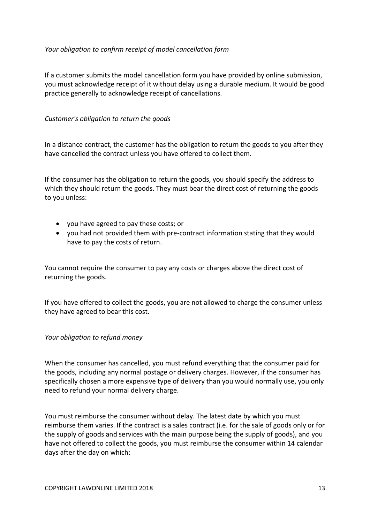## *Your obligation to confirm receipt of model cancellation form*

If a customer submits the model cancellation form you have provided by online submission, you must acknowledge receipt of it without delay using a durable medium. It would be good practice generally to acknowledge receipt of cancellations.

## *Customer's obligation to return the goods*

In a distance contract, the customer has the obligation to return the goods to you after they have cancelled the contract unless you have offered to collect them.

If the consumer has the obligation to return the goods, you should specify the address to which they should return the goods. They must bear the direct cost of returning the goods to you unless:

- you have agreed to pay these costs; or
- you had not provided them with pre-contract information stating that they would have to pay the costs of return.

You cannot require the consumer to pay any costs or charges above the direct cost of returning the goods.

If you have offered to collect the goods, you are not allowed to charge the consumer unless they have agreed to bear this cost.

### *Your obligation to refund money*

When the consumer has cancelled, you must refund everything that the consumer paid for the goods, including any normal postage or delivery charges. However, if the consumer has specifically chosen a more expensive type of delivery than you would normally use, you only need to refund your normal delivery charge.

You must reimburse the consumer without delay. The latest date by which you must reimburse them varies. If the contract is a sales contract (i.e. for the sale of goods only or for the supply of goods and services with the main purpose being the supply of goods), and you have not offered to collect the goods, you must reimburse the consumer within 14 calendar days after the day on which: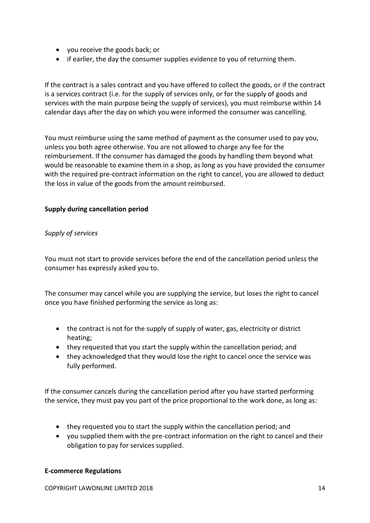- you receive the goods back; or
- if earlier, the day the consumer supplies evidence to you of returning them.

If the contract is a sales contract and you have offered to collect the goods, or if the contract is a services contract (i.e. for the supply of services only, or for the supply of goods and services with the main purpose being the supply of services), you must reimburse within 14 calendar days after the day on which you were informed the consumer was cancelling.

You must reimburse using the same method of payment as the consumer used to pay you, unless you both agree otherwise. You are not allowed to charge any fee for the reimbursement. If the consumer has damaged the goods by handling them beyond what would be reasonable to examine them in a shop, as long as you have provided the consumer with the required pre-contract information on the right to cancel, you are allowed to deduct the loss in value of the goods from the amount reimbursed.

## **Supply during cancellation period**

### *Supply of services*

You must not start to provide services before the end of the cancellation period unless the consumer has expressly asked you to.

The consumer may cancel while you are supplying the service, but loses the right to cancel once you have finished performing the service as long as:

- the contract is not for the supply of supply of water, gas, electricity or district heating;
- they requested that you start the supply within the cancellation period; and
- they acknowledged that they would lose the right to cancel once the service was fully performed.

If the consumer cancels during the cancellation period after you have started performing the service, they must pay you part of the price proportional to the work done, as long as:

- they requested you to start the supply within the cancellation period; and
- you supplied them with the pre-contract information on the right to cancel and their obligation to pay for services supplied.

### **E-commerce Regulations**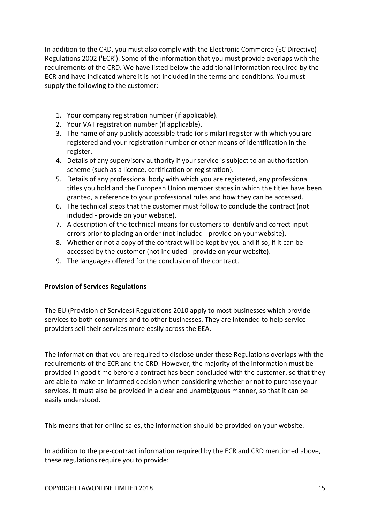In addition to the CRD, you must also comply with the Electronic Commerce (EC Directive) Regulations 2002 ('ECR'). Some of the information that you must provide overlaps with the requirements of the CRD. We have listed below the additional information required by the ECR and have indicated where it is not included in the terms and conditions. You must supply the following to the customer:

- 1. Your company registration number (if applicable).
- 2. Your VAT registration number (if applicable).
- 3. The name of any publicly accessible trade (or similar) register with which you are registered and your registration number or other means of identification in the register.
- 4. Details of any supervisory authority if your service is subject to an authorisation scheme (such as a licence, certification or registration).
- 5. Details of any professional body with which you are registered, any professional titles you hold and the European Union member states in which the titles have been granted, a reference to your professional rules and how they can be accessed.
- 6. The technical steps that the customer must follow to conclude the contract (not included - provide on your website).
- 7. A description of the technical means for customers to identify and correct input errors prior to placing an order (not included - provide on your website).
- 8. Whether or not a copy of the contract will be kept by you and if so, if it can be accessed by the customer (not included - provide on your website).
- 9. The languages offered for the conclusion of the contract.

### **Provision of Services Regulations**

The EU (Provision of Services) Regulations 2010 apply to most businesses which provide services to both consumers and to other businesses. They are intended to help service providers sell their services more easily across the EEA.

The information that you are required to disclose under these Regulations overlaps with the requirements of the ECR and the CRD. However, the majority of the information must be provided in good time before a contract has been concluded with the customer, so that they are able to make an informed decision when considering whether or not to purchase your services. It must also be provided in a clear and unambiguous manner, so that it can be easily understood.

This means that for online sales, the information should be provided on your website.

In addition to the pre-contract information required by the ECR and CRD mentioned above, these regulations require you to provide: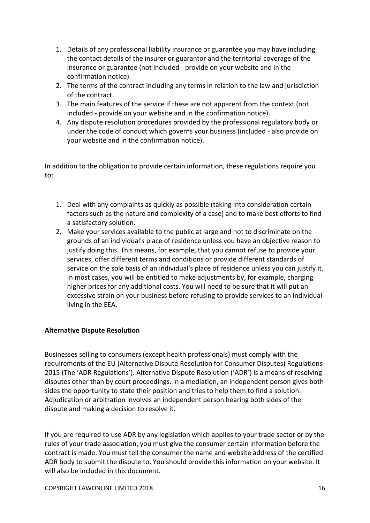- 1. Details of any professional liability insurance or guarantee you may have including the contact details of the insurer or guarantor and the territorial coverage of the insurance or guarantee (not included - provide on your website and in the confirmation notice).
- 2. The terms of the contract including any terms in relation to the law and jurisdiction of the contract.
- 3. The main features of the service if these are not apparent from the context (not included - provide on your website and in the confirmation notice).
- 4. Any dispute resolution procedures provided by the professional regulatory body or under the code of conduct which governs your business (included - also provide on your website and in the confirmation notice).

In addition to the obligation to provide certain information, these regulations require you to:

- 1. Deal with any complaints as quickly as possible (taking into consideration certain factors such as the nature and complexity of a case) and to make best efforts to find a satisfactory solution.
- 2. Make your services available to the public at large and not to discriminate on the grounds of an individual's place of residence unless you have an objective reason to justify doing this. This means, for example, that you cannot refuse to provide your services, offer different terms and conditions or provide different standards of service on the sole basis of an individual's place of residence unless you can justify it. In most cases, you will be entitled to make adjustments by, for example, charging higher prices for any additional costs. You will need to be sure that it will put an excessive strain on your business before refusing to provide services to an individual living in the EEA.

## **Alternative Dispute Resolution**

Businesses selling to consumers (except health professionals) must comply with the requirements of the EU (Alternative Dispute Resolution for Consumer Disputes) Regulations 2015 (The 'ADR Regulations'). Alternative Dispute Resolution ('ADR') is a means of resolving disputes other than by court proceedings. In a mediation, an independent person gives both sides the opportunity to state their position and tries to help them to find a solution. Adjudication or arbitration involves an independent person hearing both sides of the dispute and making a decision to resolve it.

If you are required to use ADR by any legislation which applies to your trade sector or by the rules of your trade association, you must give the consumer certain information before the contract is made. You must tell the consumer the name and website address of the certified ADR body to submit the dispute to. You should provide this information on your website. It will also be included in this document.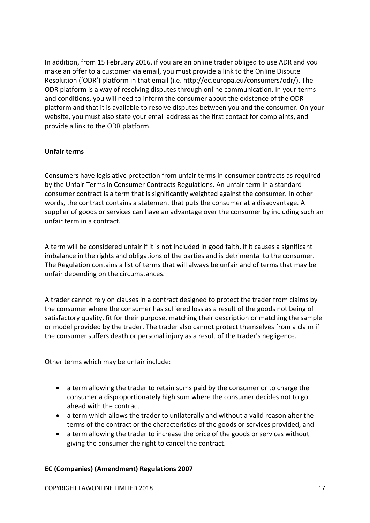In addition, from 15 February 2016, if you are an online trader obliged to use ADR and you make an offer to a customer via email, you must provide a link to the Online Dispute Resolution ('ODR') platform in that email (i.e. http://ec.europa.eu/consumers/odr/). The ODR platform is a way of resolving disputes through online communication. In your terms and conditions, you will need to inform the consumer about the existence of the ODR platform and that it is available to resolve disputes between you and the consumer. On your website, you must also state your email address as the first contact for complaints, and provide a link to the ODR platform.

## **Unfair terms**

Consumers have legislative protection from unfair terms in consumer contracts as required by the Unfair Terms in Consumer Contracts Regulations. An unfair term in a standard consumer contract is a term that is significantly weighted against the consumer. In other words, the contract contains a statement that puts the consumer at a disadvantage. A supplier of goods or services can have an advantage over the consumer by including such an unfair term in a contract.

A term will be considered unfair if it is not included in good faith, if it causes a significant imbalance in the rights and obligations of the parties and is detrimental to the consumer. The Regulation contains a list of terms that will always be unfair and of terms that may be unfair depending on the circumstances.

A trader cannot rely on clauses in a contract designed to protect the trader from claims by the consumer where the consumer has suffered loss as a result of the goods not being of satisfactory quality, fit for their purpose, matching their description or matching the sample or model provided by the trader. The trader also cannot protect themselves from a claim if the consumer suffers death or personal injury as a result of the trader's negligence.

Other terms which may be unfair include:

- a term allowing the trader to retain sums paid by the consumer or to charge the consumer a disproportionately high sum where the consumer decides not to go ahead with the contract
- a term which allows the trader to unilaterally and without a valid reason alter the terms of the contract or the characteristics of the goods or services provided, and
- a term allowing the trader to increase the price of the goods or services without giving the consumer the right to cancel the contract.

## **EC (Companies) (Amendment) Regulations 2007**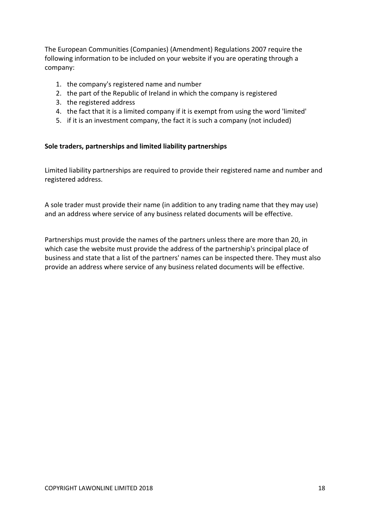The European Communities (Companies) (Amendment) Regulations 2007 require the following information to be included on your website if you are operating through a company:

- 1. the company's registered name and number
- 2. the part of the Republic of Ireland in which the company is registered
- 3. the registered address
- 4. the fact that it is a limited company if it is exempt from using the word 'limited'
- 5. if it is an investment company, the fact it is such a company (not included)

### **Sole traders, partnerships and limited liability partnerships**

Limited liability partnerships are required to provide their registered name and number and registered address.

A sole trader must provide their name (in addition to any trading name that they may use) and an address where service of any business related documents will be effective.

Partnerships must provide the names of the partners unless there are more than 20, in which case the website must provide the address of the partnership's principal place of business and state that a list of the partners' names can be inspected there. They must also provide an address where service of any business related documents will be effective.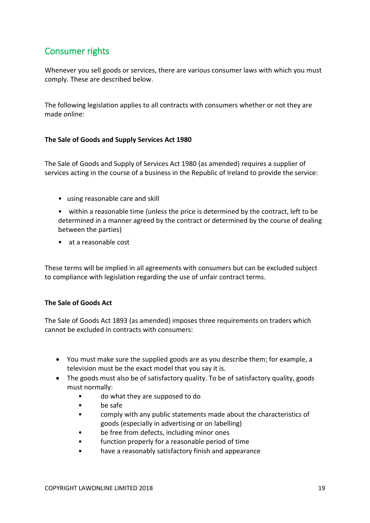# <span id="page-18-0"></span>Consumer rights

Whenever you sell goods or services, there are various consumer laws with which you must comply. These are described below.

The following legislation applies to all contracts with consumers whether or not they are made online:

## **The Sale of Goods and Supply Services Act 1980**

The Sale of Goods and Supply of Services Act 1980 (as amended) requires a supplier of services acting in the course of a business in the Republic of Ireland to provide the service:

• using reasonable care and skill

• within a reasonable time (unless the price is determined by the contract, left to be determined in a manner agreed by the contract or determined by the course of dealing between the parties)

• at a reasonable cost

These terms will be implied in all agreements with consumers but can be excluded subject to compliance with legislation regarding the use of unfair contract terms.

### **The Sale of Goods Act**

The Sale of Goods Act 1893 (as amended) imposes three requirements on traders which cannot be excluded in contracts with consumers:

- You must make sure the supplied goods are as you describe them; for example, a television must be the exact model that you say it is.
- The goods must also be of satisfactory quality. To be of satisfactory quality, goods must normally:
	- do what they are supposed to do
	- be safe
	- comply with any public statements made about the characteristics of goods (especially in advertising or on labelling)
	- be free from defects, including minor ones
	- function properly for a reasonable period of time
	- have a reasonably satisfactory finish and appearance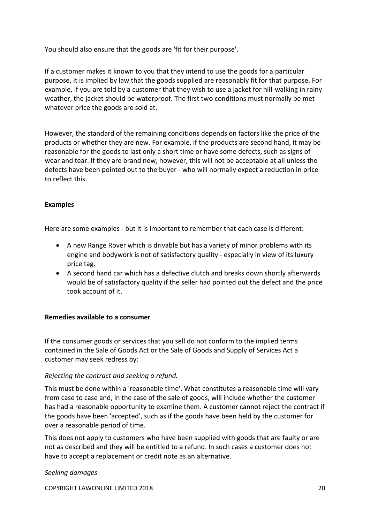You should also ensure that the goods are 'fit for their purpose'.

If a customer makes it known to you that they intend to use the goods for a particular purpose, it is implied by law that the goods supplied are reasonably fit for that purpose. For example, if you are told by a customer that they wish to use a jacket for hill-walking in rainy weather, the jacket should be waterproof. The first two conditions must normally be met whatever price the goods are sold at.

However, the standard of the remaining conditions depends on factors like the price of the products or whether they are new. For example, if the products are second hand, it may be reasonable for the goods to last only a short time or have some defects, such as signs of wear and tear. If they are brand new, however, this will not be acceptable at all unless the defects have been pointed out to the buyer - who will normally expect a reduction in price to reflect this.

## **Examples**

Here are some examples - but it is important to remember that each case is different:

- A new Range Rover which is drivable but has a variety of minor problems with its engine and bodywork is not of satisfactory quality - especially in view of its luxury price tag.
- A second hand car which has a defective clutch and breaks down shortly afterwards would be of satisfactory quality if the seller had pointed out the defect and the price took account of it.

### **Remedies available to a consumer**

If the consumer goods or services that you sell do not conform to the implied terms contained in the Sale of Goods Act or the Sale of Goods and Supply of Services Act a customer may seek redress by:

### *Rejecting the contract and seeking a refund.*

This must be done within a 'reasonable time'. What constitutes a reasonable time will vary from case to case and, in the case of the sale of goods, will include whether the customer has had a reasonable opportunity to examine them. A customer cannot reject the contract if the goods have been 'accepted', such as if the goods have been held by the customer for over a reasonable period of time.

This does not apply to customers who have been supplied with goods that are faulty or are not as described and they will be entitled to a refund. In such cases a customer does not have to accept a replacement or credit note as an alternative.

### *Seeking damages*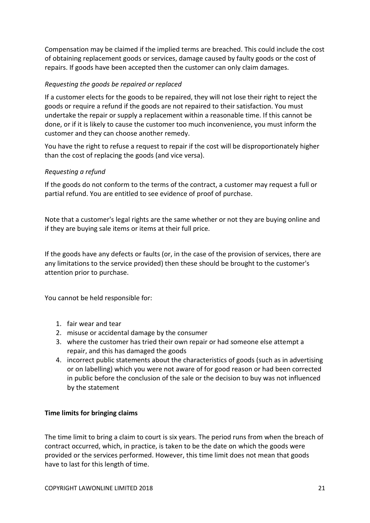Compensation may be claimed if the implied terms are breached. This could include the cost of obtaining replacement goods or services, damage caused by faulty goods or the cost of repairs. If goods have been accepted then the customer can only claim damages.

## *Requesting the goods be repaired or replaced*

If a customer elects for the goods to be repaired, they will not lose their right to reject the goods or require a refund if the goods are not repaired to their satisfaction. You must undertake the repair or supply a replacement within a reasonable time. If this cannot be done, or if it is likely to cause the customer too much inconvenience, you must inform the customer and they can choose another remedy.

You have the right to refuse a request to repair if the cost will be disproportionately higher than the cost of replacing the goods (and vice versa).

## *Requesting a refund*

If the goods do not conform to the terms of the contract, a customer may request a full or partial refund. You are entitled to see evidence of proof of purchase.

Note that a customer's legal rights are the same whether or not they are buying online and if they are buying sale items or items at their full price.

If the goods have any defects or faults (or, in the case of the provision of services, there are any limitations to the service provided) then these should be brought to the customer's attention prior to purchase.

You cannot be held responsible for:

- 1. fair wear and tear
- 2. misuse or accidental damage by the consumer
- 3. where the customer has tried their own repair or had someone else attempt a repair, and this has damaged the goods
- 4. incorrect public statements about the characteristics of goods (such as in advertising or on labelling) which you were not aware of for good reason or had been corrected in public before the conclusion of the sale or the decision to buy was not influenced by the statement

### **Time limits for bringing claims**

The time limit to bring a claim to court is six years. The period runs from when the breach of contract occurred, which, in practice, is taken to be the date on which the goods were provided or the services performed. However, this time limit does not mean that goods have to last for this length of time.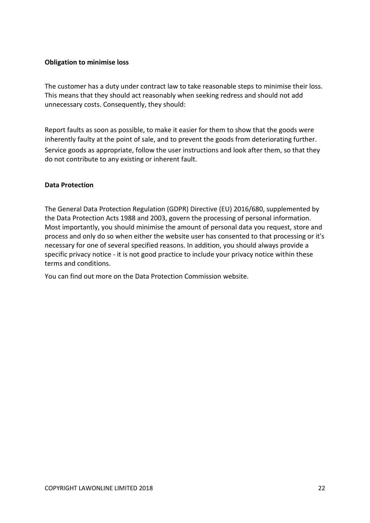### **Obligation to minimise loss**

The customer has a duty under contract law to take reasonable steps to minimise their loss. This means that they should act reasonably when seeking redress and should not add unnecessary costs. Consequently, they should:

Report faults as soon as possible, to make it easier for them to show that the goods were inherently faulty at the point of sale, and to prevent the goods from deteriorating further. Service goods as appropriate, follow the user instructions and look after them, so that they do not contribute to any existing or inherent fault.

### **Data Protection**

The General Data Protection Regulation (GDPR) Directive (EU) 2016/680, supplemented by the Data Protection Acts 1988 and 2003, govern the processing of personal information. Most importantly, you should minimise the amount of personal data you request, store and process and only do so when either the website user has consented to that processing or it's necessary for one of several specified reasons. In addition, you should always provide a specific privacy notice - it is not good practice to include your privacy notice within these terms and conditions.

You can find out more on the Data Protection Commission website.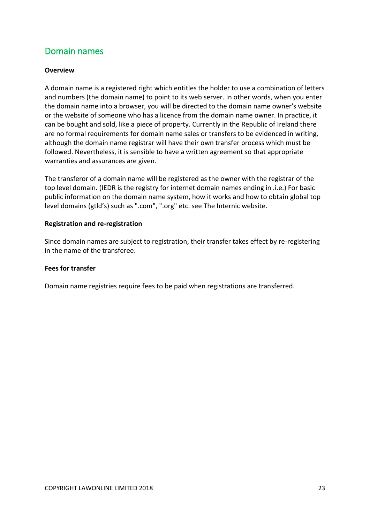# <span id="page-22-0"></span>Domain names

## **Overview**

A domain name is a registered right which entitles the holder to use a combination of letters and numbers (the domain name) to point to its web server. In other words, when you enter the domain name into a browser, you will be directed to the domain name owner's website or the website of someone who has a licence from the domain name owner. In practice, it can be bought and sold, like a piece of property. Currently in the Republic of Ireland there are no formal requirements for domain name sales or transfers to be evidenced in writing, although the domain name registrar will have their own transfer process which must be followed. Nevertheless, it is sensible to have a written agreement so that appropriate warranties and assurances are given.

The transferor of a domain name will be registered as the owner with the registrar of the top level domain. (IEDR is the registry for internet domain names ending in .i.e.) For basic public information on the domain name system, how it works and how to obtain global top level domains (gtld's) such as ".com", ".org" etc. see [The Internic website.](http://www.internic.net/)

#### **Registration and re-registration**

Since domain names are subject to registration, their transfer takes effect by re-registering in the name of the transferee.

### **Fees for transfer**

Domain name registries require fees to be paid when registrations are transferred.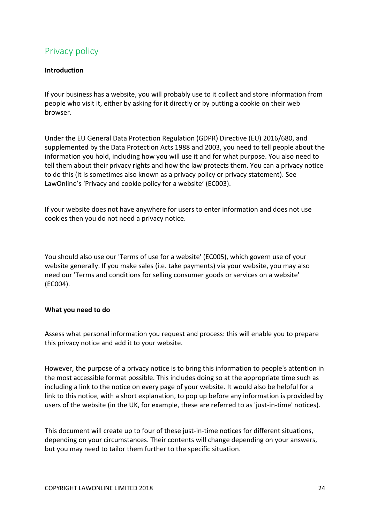# <span id="page-23-0"></span>Privacy policy

## **Introduction**

If your business has a website, you will probably use to it collect and store information from people who visit it, either by asking for it directly or by putting a cookie on their web browser.

Under the EU General Data Protection Regulation (GDPR) Directive (EU) 2016/680, and supplemented by the Data Protection Acts 1988 and 2003, you need to tell people about the information you hold, including how you will use it and for what purpose. You also need to tell them about their privacy rights and how the law protects them. You can a privacy notice to do this (it is sometimes also known as a privacy policy or privacy statement). See LawOnline's 'Privacy and cookie policy for a website' (EC003).

If your website does not have anywhere for users to enter information and does not use cookies then you do not need a privacy notice.

You should also use our 'Terms of use for a website' (EC005), which govern use of your website generally. If you make sales (i.e. take payments) via your website, you may also need our 'Terms and conditions for selling consumer goods or services on a website' (EC004).

### **What you need to do**

Assess what personal information you request and process: this will enable you to prepare this privacy notice and add it to your website.

However, the purpose of a privacy notice is to bring this information to people's attention in the most accessible format possible. This includes doing so at the appropriate time such as including a link to the notice on every page of your website. It would also be helpful for a link to this notice, with a short explanation, to pop up before any information is provided by users of the website (in the UK, for example, these are referred to as 'just-in-time' notices).

This document will create up to four of these just-in-time notices for different situations, depending on your circumstances. Their contents will change depending on your answers, but you may need to tailor them further to the specific situation.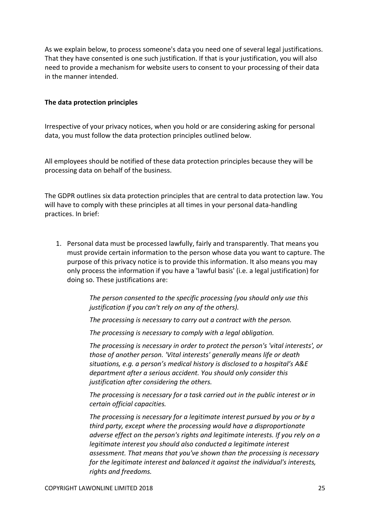As we explain below, to process someone's data you need one of several legal justifications. That they have consented is one such justification. If that is your justification, you will also need to provide a mechanism for website users to consent to your processing of their data in the manner intended.

#### **The data protection principles**

Irrespective of your privacy notices, when you hold or are considering asking for personal data, you must follow the data protection principles outlined below.

All employees should be notified of these data protection principles because they will be processing data on behalf of the business.

The GDPR outlines six data protection principles that are central to data protection law. You will have to comply with these principles at all times in your personal data-handling practices. In brief:

1. Personal data must be processed lawfully, fairly and transparently. That means you must provide certain information to the person whose data you want to capture. The purpose of this privacy notice is to provide this information. It also means you may only process the information if you have a 'lawful basis' (i.e. a legal justification) for doing so. These justifications are:

> *The person consented to the specific processing (you should only use this justification if you can't rely on any of the others).*

*The processing is necessary to carry out a contract with the person.*

*The processing is necessary to comply with a legal obligation.*

*The processing is necessary in order to protect the person's 'vital interests', or those of another person. 'Vital interests' generally means life or death situations, e.g. a person's medical history is disclosed to a hospital's A&E department after a serious accident. You should only consider this justification after considering the others.*

*The processing is necessary for a task carried out in the public interest or in certain official capacities.*

*The processing is necessary for a legitimate interest pursued by you or by a third party, except where the processing would have a disproportionate adverse effect on the person's rights and legitimate interests. If you rely on a legitimate interest you should also conducted a legitimate interest assessment. That means that you've shown than the processing is necessary for the legitimate interest and balanced it against the individual's interests, rights and freedoms.*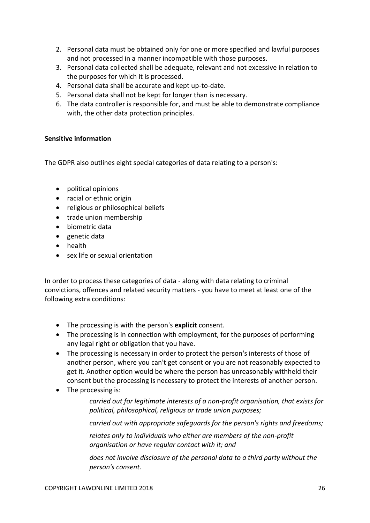- 2. Personal data must be obtained only for one or more specified and lawful purposes and not processed in a manner incompatible with those purposes.
- 3. Personal data collected shall be adequate, relevant and not excessive in relation to the purposes for which it is processed.
- 4. Personal data shall be accurate and kept up-to-date.
- 5. Personal data shall not be kept for longer than is necessary.
- 6. The data controller is responsible for, and must be able to demonstrate compliance with, the other data protection principles.

## **Sensitive information**

The GDPR also outlines eight special categories of data relating to a person's:

- political opinions
- racial or ethnic origin
- religious or philosophical beliefs
- trade union membership
- biometric data
- genetic data
- health
- sex life or sexual orientation

In order to process these categories of data - along with data relating to criminal convictions, offences and related security matters - you have to meet at least one of the following extra conditions:

- The processing is with the person's **explicit** consent.
- The processing is in connection with employment, for the purposes of performing any legal right or obligation that you have.
- The processing is necessary in order to protect the person's interests of those of another person, where you can't get consent or you are not reasonably expected to get it. Another option would be where the person has unreasonably withheld their consent but the processing is necessary to protect the interests of another person.
- The processing is:

*carried out for legitimate interests of a non-profit organisation, that exists for political, philosophical, religious or trade union purposes;*

*carried out with appropriate safeguards for the person's rights and freedoms;*

*relates only to individuals who either are members of the non-profit organisation or have regular contact with it; and*

*does not involve disclosure of the personal data to a third party without the person's consent.*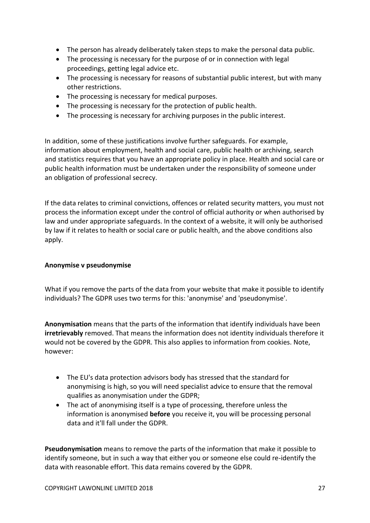- The person has already deliberately taken steps to make the personal data public.
- The processing is necessary for the purpose of or in connection with legal proceedings, getting legal advice etc.
- The processing is necessary for reasons of substantial public interest, but with many other restrictions.
- The processing is necessary for medical purposes.
- The processing is necessary for the protection of public health.
- The processing is necessary for archiving purposes in the public interest.

In addition, some of these justifications involve further safeguards. For example, information about employment, health and social care, public health or archiving, search and statistics requires that you have an appropriate policy in place. Health and social care or public health information must be undertaken under the responsibility of someone under an obligation of professional secrecy.

If the data relates to criminal convictions, offences or related security matters, you must not process the information except under the control of official authority or when authorised by law and under appropriate safeguards. In the context of a website, it will only be authorised by law if it relates to health or social care or public health, and the above conditions also apply.

## **Anonymise v pseudonymise**

What if you remove the parts of the data from your website that make it possible to identify individuals? The GDPR uses two terms for this: 'anonymise' and 'pseudonymise'.

**Anonymisation** means that the parts of the information that identify individuals have been **irretrievably** removed. That means the information does not identity individuals therefore it would not be covered by the GDPR. This also applies to information from cookies. Note, however:

- The EU's data protection advisors body has stressed that the standard for anonymising is high, so you will need specialist advice to ensure that the removal qualifies as anonymisation under the GDPR;
- The act of anonymising itself is a type of processing, therefore unless the information is anonymised **before** you receive it, you will be processing personal data and it'll fall under the GDPR.

**Pseudonymisation** means to remove the parts of the information that make it possible to identify someone, but in such a way that either you or someone else could re-identify the data with reasonable effort. This data remains covered by the GDPR.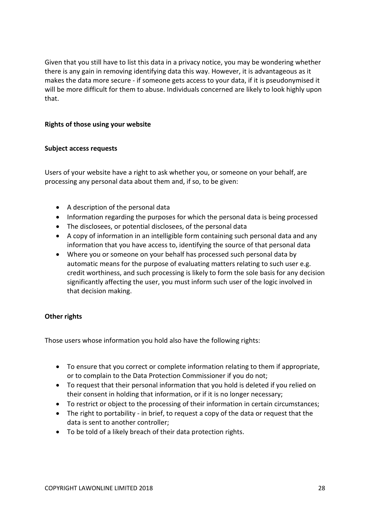Given that you still have to list this data in a privacy notice, you may be wondering whether there is any gain in removing identifying data this way. However, it is advantageous as it makes the data more secure - if someone gets access to your data, if it is pseudonymised it will be more difficult for them to abuse. Individuals concerned are likely to look highly upon that.

## **Rights of those using your website**

### **Subject access requests**

Users of your website have a right to ask whether you, or someone on your behalf, are processing any personal data about them and, if so, to be given:

- A description of the personal data
- Information regarding the purposes for which the personal data is being processed
- The disclosees, or potential disclosees, of the personal data
- A copy of information in an intelligible form containing such personal data and any information that you have access to, identifying the source of that personal data
- Where you or someone on your behalf has processed such personal data by automatic means for the purpose of evaluating matters relating to such user e.g. credit worthiness, and such processing is likely to form the sole basis for any decision significantly affecting the user, you must inform such user of the logic involved in that decision making.

## **Other rights**

Those users whose information you hold also have the following rights:

- To ensure that you correct or complete information relating to them if appropriate, or to complain to the Data Protection Commissioner if you do not;
- To request that their personal information that you hold is deleted if you relied on their consent in holding that information, or if it is no longer necessary;
- To restrict or object to the processing of their information in certain circumstances;
- The right to portability in brief, to request a copy of the data or request that the data is sent to another controller;
- To be told of a likely breach of their data protection rights.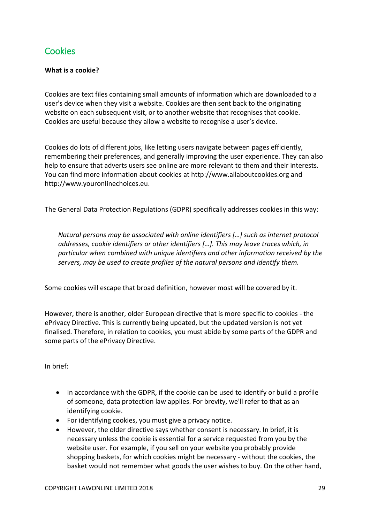# <span id="page-28-0"></span>**Cookies**

## **What is a cookie?**

Cookies are text files containing small amounts of information which are downloaded to a user's device when they visit a website. Cookies are then sent back to the originating website on each subsequent visit, or to another website that recognises that cookie. Cookies are useful because they allow a website to recognise a user's device.

Cookies do lots of different jobs, like letting users navigate between pages efficiently, remembering their preferences, and generally improving the user experience. They can also help to ensure that adverts users see online are more relevant to them and their interests. You can find more information about cookies at http://www.allaboutcookies.org and http://www.youronlinechoices.eu.

The General Data Protection Regulations (GDPR) specifically addresses cookies in this way:

*Natural persons may be associated with online identifiers […] such as internet protocol addresses, cookie identifiers or other identifiers […]. This may leave traces which, in particular when combined with unique identifiers and other information received by the servers, may be used to create profiles of the natural persons and identify them.* 

Some cookies will escape that broad definition, however most will be covered by it.

However, there is another, older European directive that is more specific to cookies - the ePrivacy Directive. This is currently being updated, but the updated version is not yet finalised. Therefore, in relation to cookies, you must abide by some parts of the GDPR and some parts of the ePrivacy Directive.

In brief:

- In accordance with the GDPR, if the cookie can be used to identify or build a profile of someone, data protection law applies. For brevity, we'll refer to that as an identifying cookie.
- For identifying cookies, you must give a privacy notice.
- However, the older directive says whether consent is necessary. In brief, it is necessary unless the cookie is essential for a service requested from you by the website user. For example, if you sell on your website you probably provide shopping baskets, for which cookies might be necessary - without the cookies, the basket would not remember what goods the user wishes to buy. On the other hand,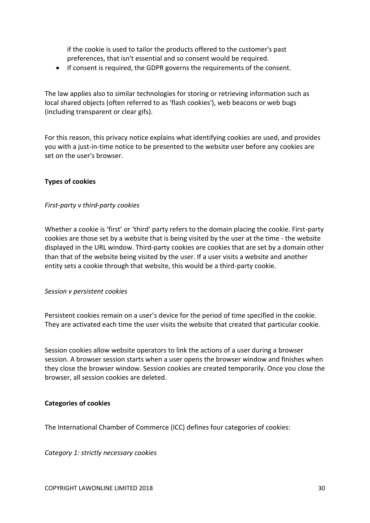if the cookie is used to tailor the products offered to the customer's past preferences, that isn't essential and so consent would be required.

If consent is required, the GDPR governs the requirements of the consent.

The law applies also to similar technologies for storing or retrieving information such as local shared objects (often referred to as 'flash cookies'), web beacons or web bugs (including transparent or clear gifs).

For this reason, this privacy notice explains what identifying cookies are used, and provides you with a just-in-time notice to be presented to the website user before any cookies are set on the user's browser.

### **Types of cookies**

### *First-party v third-party cookies*

Whether a cookie is 'first' or 'third' party refers to the domain placing the cookie. First-party cookies are those set by a website that is being visited by the user at the time - the website displayed in the URL window. Third-party cookies are cookies that are set by a domain other than that of the website being visited by the user. If a user visits a website and another entity sets a cookie through that website, this would be a third-party cookie.

### *Session v persistent cookies*

Persistent cookies remain on a user's device for the period of time specified in the cookie. They are activated each time the user visits the website that created that particular cookie.

Session cookies allow website operators to link the actions of a user during a browser session. A browser session starts when a user opens the browser window and finishes when they close the browser window. Session cookies are created temporarily. Once you close the browser, all session cookies are deleted.

### **Categories of cookies**

The International Chamber of Commerce (ICC) defines four categories of cookies:

*Category 1: strictly necessary cookies*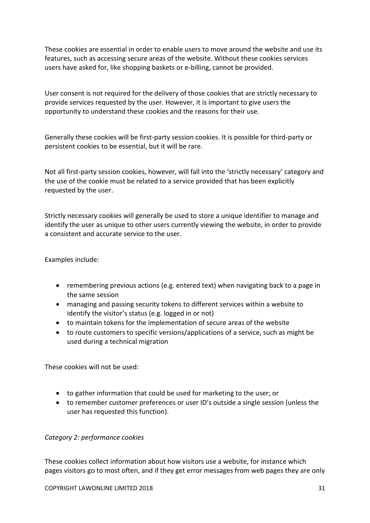These cookies are essential in order to enable users to move around the website and use its features, such as accessing secure areas of the website. Without these cookies services users have asked for, like shopping baskets or e-billing, cannot be provided.

User consent is not required for the delivery of those cookies that are strictly necessary to provide services requested by the user. However, it is important to give users the opportunity to understand these cookies and the reasons for their use.

Generally these cookies will be first-party session cookies. It is possible for third-party or persistent cookies to be essential, but it will be rare.

Not all first-party session cookies, however, will fall into the 'strictly necessary' category and the use of the cookie must be related to a service provided that has been explicitly requested by the user.

Strictly necessary cookies will generally be used to store a unique identifier to manage and identify the user as unique to other users currently viewing the website, in order to provide a consistent and accurate service to the user.

Examples include:

- remembering previous actions (e.g. entered text) when navigating back to a page in the same session
- managing and passing security tokens to different services within a website to identify the visitor's status (e.g. logged in or not)
- to maintain tokens for the implementation of secure areas of the website
- to route customers to specific versions/applications of a service, such as might be used during a technical migration

These cookies will not be used:

- to gather information that could be used for marketing to the user; or
- to remember customer preferences or user ID's outside a single session (unless the user has requested this function).

## *Category 2: performance cookies*

These cookies collect information about how visitors use a website, for instance which pages visitors go to most often, and if they get error messages from web pages they are only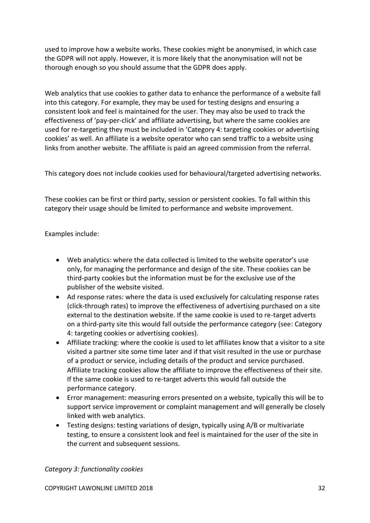used to improve how a website works. These cookies might be anonymised, in which case the GDPR will not apply. However, it is more likely that the anonymisation will not be thorough enough so you should assume that the GDPR does apply.

Web analytics that use cookies to gather data to enhance the performance of a website fall into this category. For example, they may be used for testing designs and ensuring a consistent look and feel is maintained for the user. They may also be used to track the effectiveness of 'pay-per-click' and affiliate advertising, but where the same cookies are used for re-targeting they must be included in 'Category 4: targeting cookies or advertising cookies' as well. An affiliate is a website operator who can send traffic to a website using links from another website. The affiliate is paid an agreed commission from the referral.

This category does not include cookies used for behavioural/targeted advertising networks.

These cookies can be first or third party, session or persistent cookies. To fall within this category their usage should be limited to performance and website improvement.

Examples include:

- Web analytics: where the data collected is limited to the website operator's use only, for managing the performance and design of the site. These cookies can be third-party cookies but the information must be for the exclusive use of the publisher of the website visited.
- Ad response rates: where the data is used exclusively for calculating response rates (click-through rates) to improve the effectiveness of advertising purchased on a site external to the destination website. If the same cookie is used to re-target adverts on a third-party site this would fall outside the performance category (see: Category 4: targeting cookies or advertising cookies).
- Affiliate tracking: where the cookie is used to let affiliates know that a visitor to a site visited a partner site some time later and if that visit resulted in the use or purchase of a product or service, including details of the product and service purchased. Affiliate tracking cookies allow the affiliate to improve the effectiveness of their site. If the same cookie is used to re-target adverts this would fall outside the performance category.
- Error management: measuring errors presented on a website, typically this will be to support service improvement or complaint management and will generally be closely linked with web analytics.
- Testing designs: testing variations of design, typically using A/B or multivariate testing, to ensure a consistent look and feel is maintained for the user of the site in the current and subsequent sessions.

*Category 3: functionality cookies*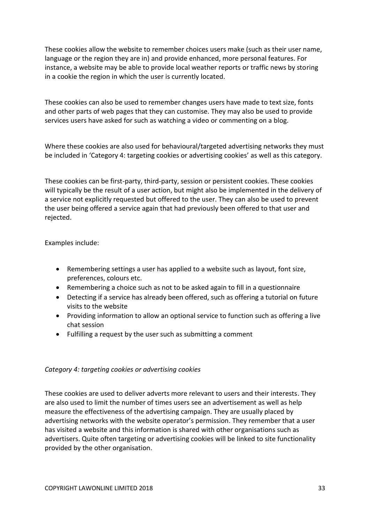These cookies allow the website to remember choices users make (such as their user name, language or the region they are in) and provide enhanced, more personal features. For instance, a website may be able to provide local weather reports or traffic news by storing in a cookie the region in which the user is currently located.

These cookies can also be used to remember changes users have made to text size, fonts and other parts of web pages that they can customise. They may also be used to provide services users have asked for such as watching a video or commenting on a blog.

Where these cookies are also used for behavioural/targeted advertising networks they must be included in 'Category 4: targeting cookies or advertising cookies' as well as this category.

These cookies can be first-party, third-party, session or persistent cookies. These cookies will typically be the result of a user action, but might also be implemented in the delivery of a service not explicitly requested but offered to the user. They can also be used to prevent the user being offered a service again that had previously been offered to that user and rejected.

Examples include:

- Remembering settings a user has applied to a website such as layout, font size, preferences, colours etc.
- Remembering a choice such as not to be asked again to fill in a questionnaire
- Detecting if a service has already been offered, such as offering a tutorial on future visits to the website
- Providing information to allow an optional service to function such as offering a live chat session
- Fulfilling a request by the user such as submitting a comment

## *Category 4: targeting cookies or advertising cookies*

These cookies are used to deliver adverts more relevant to users and their interests. They are also used to limit the number of times users see an advertisement as well as help measure the effectiveness of the advertising campaign. They are usually placed by advertising networks with the website operator's permission. They remember that a user has visited a website and this information is shared with other organisations such as advertisers. Quite often targeting or advertising cookies will be linked to site functionality provided by the other organisation.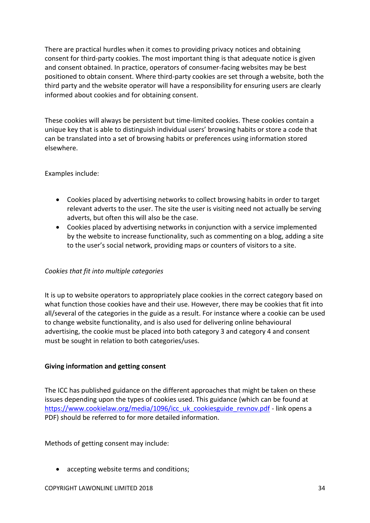There are practical hurdles when it comes to providing privacy notices and obtaining consent for third-party cookies. The most important thing is that adequate notice is given and consent obtained. In practice, operators of consumer-facing websites may be best positioned to obtain consent. Where third-party cookies are set through a website, both the third party and the website operator will have a responsibility for ensuring users are clearly informed about cookies and for obtaining consent.

These cookies will always be persistent but time-limited cookies. These cookies contain a unique key that is able to distinguish individual users' browsing habits or store a code that can be translated into a set of browsing habits or preferences using information stored elsewhere.

Examples include:

- Cookies placed by advertising networks to collect browsing habits in order to target relevant adverts to the user. The site the user is visiting need not actually be serving adverts, but often this will also be the case.
- Cookies placed by advertising networks in conjunction with a service implemented by the website to increase functionality, such as commenting on a blog, adding a site to the user's social network, providing maps or counters of visitors to a site.

## *Cookies that fit into multiple categories*

It is up to website operators to appropriately place cookies in the correct category based on what function those cookies have and their use. However, there may be cookies that fit into all/several of the categories in the guide as a result. For instance where a cookie can be used to change website functionality, and is also used for delivering online behavioural advertising, the cookie must be placed into both category 3 and category 4 and consent must be sought in relation to both categories/uses.

### **Giving information and getting consent**

The ICC has published guidance on the different approaches that might be taken on these issues depending upon the types of cookies used. This guidance (which can be found at [https://www.cookielaw.org/media/1096/icc\\_uk\\_cookiesguide\\_revnov.pdf](https://www.cookielaw.org/media/1096/icc_uk_cookiesguide_revnov.pdf) - link opens a PDF) should be referred to for more detailed information.

Methods of getting consent may include:

accepting website terms and conditions;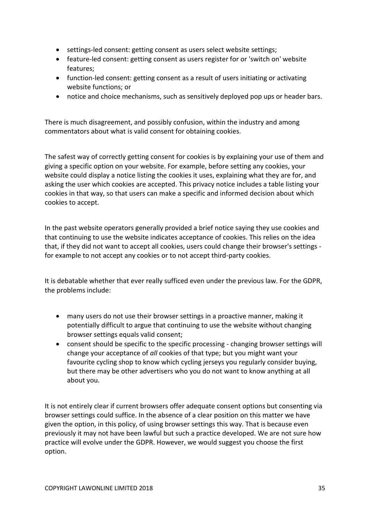- settings-led consent: getting consent as users select website settings;
- feature-led consent: getting consent as users register for or 'switch on' website features;
- function-led consent: getting consent as a result of users initiating or activating website functions; or
- notice and choice mechanisms, such as sensitively deployed pop ups or header bars.

There is much disagreement, and possibly confusion, within the industry and among commentators about what is valid consent for obtaining cookies.

The safest way of correctly getting consent for cookies is by explaining your use of them and giving a specific option on your website. For example, before setting any cookies, your website could display a notice listing the cookies it uses, explaining what they are for, and asking the user which cookies are accepted. This privacy notice includes a table listing your cookies in that way, so that users can make a specific and informed decision about which cookies to accept.

In the past website operators generally provided a brief notice saying they use cookies and that continuing to use the website indicates acceptance of cookies. This relies on the idea that, if they did not want to accept all cookies, users could change their browser's settings for example to not accept any cookies or to not accept third-party cookies.

It is debatable whether that ever really sufficed even under the previous law. For the GDPR, the problems include:

- many users do not use their browser settings in a proactive manner, making it potentially difficult to argue that continuing to use the website without changing browser settings equals valid consent;
- consent should be specific to the specific processing changing browser settings will change your acceptance of *all* cookies of that type; but you might want your favourite cycling shop to know which cycling jerseys you regularly consider buying, but there may be other advertisers who you do not want to know anything at all about you.

It is not entirely clear if current browsers offer adequate consent options but consenting via browser settings could suffice. In the absence of a clear position on this matter we have given the option, in this policy, of using browser settings this way. That is because even previously it may not have been lawful but such a practice developed. We are not sure how practice will evolve under the GDPR. However, we would suggest you choose the first option.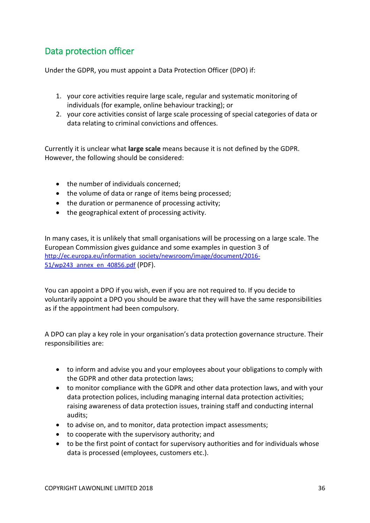# <span id="page-35-0"></span>Data protection officer

Under the GDPR, you must appoint a Data Protection Officer (DPO) if:

- 1. your core activities require large scale, regular and systematic monitoring of individuals (for example, online behaviour tracking); or
- 2. your core activities consist of large scale processing of special categories of data or data relating to criminal convictions and offences.

Currently it is unclear what **large scale** means because it is not defined by the GDPR. However, the following should be considered:

- the number of individuals concerned;
- the volume of data or range of items being processed;
- the duration or permanence of processing activity;
- the geographical extent of processing activity.

In many cases, it is unlikely that small organisations will be processing on a large scale. The European Commission gives guidance and some examples in question 3 of [http://ec.europa.eu/information\\_society/newsroom/image/document/2016-](http://ec.europa.eu/information_society/newsroom/image/document/2016-51/wp243_annex_en_40856.pdf) [51/wp243\\_annex\\_en\\_40856.pdf](http://ec.europa.eu/information_society/newsroom/image/document/2016-51/wp243_annex_en_40856.pdf) (PDF).

You can appoint a DPO if you wish, even if you are not required to. If you decide to voluntarily appoint a DPO you should be aware that they will have the same responsibilities as if the appointment had been compulsory.

A DPO can play a key role in your organisation's data protection governance structure. Their responsibilities are:

- to inform and advise you and your employees about your obligations to comply with the GDPR and other data protection laws;
- to monitor compliance with the GDPR and other data protection laws, and with your data protection polices, including managing internal data protection activities; raising awareness of data protection issues, training staff and conducting internal audits;
- to advise on, and to monitor, data protection impact assessments;
- to cooperate with the supervisory authority; and
- to be the first point of contact for supervisory authorities and for individuals whose data is processed (employees, customers etc.).